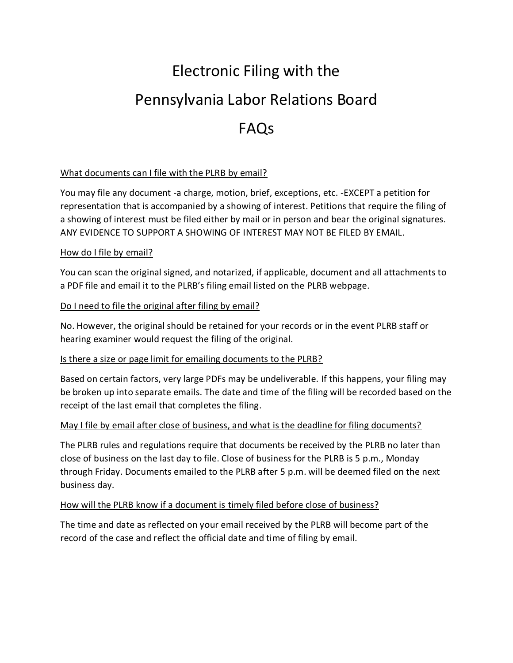# Electronic Filing with the Pennsylvania Labor Relations Board FAQs

# What documents can I file with the PLRB by email?

You may file any document -a charge, motion, brief, exceptions, etc. -EXCEPT a petition for representation that is accompanied by a showing of interest. Petitions that require the filing of a showing of interest must be filed either by mail or in person and bear the original signatures. ANY EVIDENCE TO SUPPORT A SHOWING OF INTEREST MAY NOT BE FILED BY EMAIL.

#### How do I file by email?

You can scan the original signed, and notarized, if applicable, document and all attachments to a PDF file and email it to the PLRB's filing email listed on the PLRB webpage.

#### Do I need to file the original after filing by email?

No. However, the original should be retained for your records or in the event PLRB staff or hearing examiner would request the filing of the original.

#### Is there a size or page limit for emailing documents to the PLRB?

Based on certain factors, very large PDFs may be undeliverable. If this happens, your filing may be broken up into separate emails. The date and time of the filing will be recorded based on the receipt of the last email that completes the filing.

#### May I file by email after close of business, and what is the deadline for filing documents?

The PLRB rules and regulations require that documents be received by the PLRB no later than close of business on the last day to file. Close of business for the PLRB is 5 p.m., Monday through Friday. Documents emailed to the PLRB after 5 p.m. will be deemed filed on the next business day.

#### How will the PLRB know if a document is timely filed before close of business?

The time and date as reflected on your email received by the PLRB will become part of the record of the case and reflect the official date and time of filing by email.